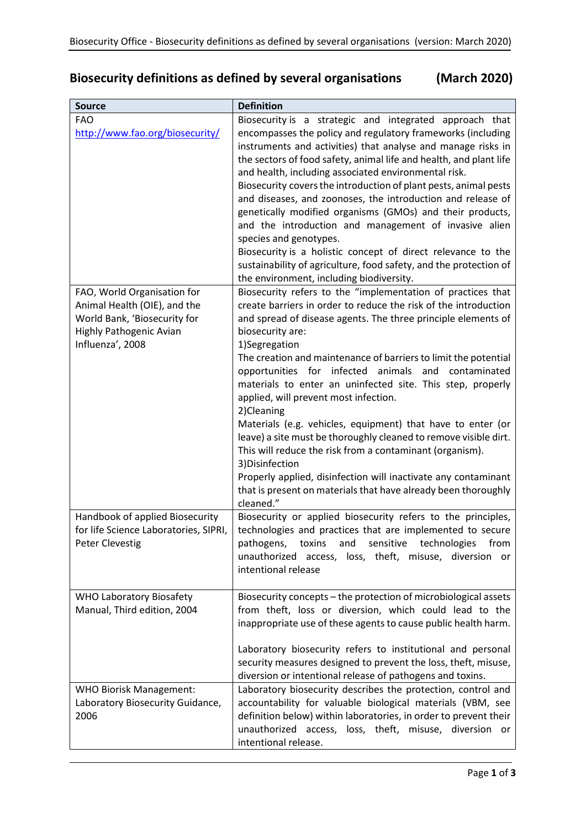## **Biosecurity definitions as defined by several organisations (March 2020)**

| <b>Source</b>                                                                                                                              | <b>Definition</b>                                                                                                                                                                                                                                                                                                                                                                                                                                                                                                                                                                                                                                                                                                                                                                                                                                                  |
|--------------------------------------------------------------------------------------------------------------------------------------------|--------------------------------------------------------------------------------------------------------------------------------------------------------------------------------------------------------------------------------------------------------------------------------------------------------------------------------------------------------------------------------------------------------------------------------------------------------------------------------------------------------------------------------------------------------------------------------------------------------------------------------------------------------------------------------------------------------------------------------------------------------------------------------------------------------------------------------------------------------------------|
| <b>FAO</b><br>http://www.fao.org/biosecurity/                                                                                              | Biosecurity is a strategic and integrated approach that<br>encompasses the policy and regulatory frameworks (including<br>instruments and activities) that analyse and manage risks in<br>the sectors of food safety, animal life and health, and plant life<br>and health, including associated environmental risk.<br>Biosecurity covers the introduction of plant pests, animal pests<br>and diseases, and zoonoses, the introduction and release of<br>genetically modified organisms (GMOs) and their products,<br>and the introduction and management of invasive alien<br>species and genotypes.<br>Biosecurity is a holistic concept of direct relevance to the<br>sustainability of agriculture, food safety, and the protection of<br>the environment, including biodiversity.                                                                           |
| FAO, World Organisation for<br>Animal Health (OIE), and the<br>World Bank, 'Biosecurity for<br>Highly Pathogenic Avian<br>Influenza', 2008 | Biosecurity refers to the "implementation of practices that<br>create barriers in order to reduce the risk of the introduction<br>and spread of disease agents. The three principle elements of<br>biosecurity are:<br>1)Segregation<br>The creation and maintenance of barriers to limit the potential<br>infected<br>animals<br>opportunities for<br>and<br>contaminated<br>materials to enter an uninfected site. This step, properly<br>applied, will prevent most infection.<br>2)Cleaning<br>Materials (e.g. vehicles, equipment) that have to enter (or<br>leave) a site must be thoroughly cleaned to remove visible dirt.<br>This will reduce the risk from a contaminant (organism).<br>3) Disinfection<br>Properly applied, disinfection will inactivate any contaminant<br>that is present on materials that have already been thoroughly<br>cleaned." |
| Handbook of applied Biosecurity<br>for life Science Laboratories, SIPRI,<br><b>Peter Clevestig</b>                                         | Biosecurity or applied biosecurity refers to the principles,<br>technologies and practices that are implemented to secure<br>technologies<br>pathogens,<br>sensitive<br>from<br>toxins<br>and<br>unauthorized access, loss, theft, misuse, diversion or<br>intentional release                                                                                                                                                                                                                                                                                                                                                                                                                                                                                                                                                                                     |
| <b>WHO Laboratory Biosafety</b><br>Manual, Third edition, 2004                                                                             | Biosecurity concepts - the protection of microbiological assets<br>from theft, loss or diversion, which could lead to the<br>inappropriate use of these agents to cause public health harm.<br>Laboratory biosecurity refers to institutional and personal<br>security measures designed to prevent the loss, theft, misuse,<br>diversion or intentional release of pathogens and toxins.                                                                                                                                                                                                                                                                                                                                                                                                                                                                          |
| <b>WHO Biorisk Management:</b><br>Laboratory Biosecurity Guidance,<br>2006                                                                 | Laboratory biosecurity describes the protection, control and<br>accountability for valuable biological materials (VBM, see<br>definition below) within laboratories, in order to prevent their<br>unauthorized access, loss, theft, misuse, diversion or<br>intentional release.                                                                                                                                                                                                                                                                                                                                                                                                                                                                                                                                                                                   |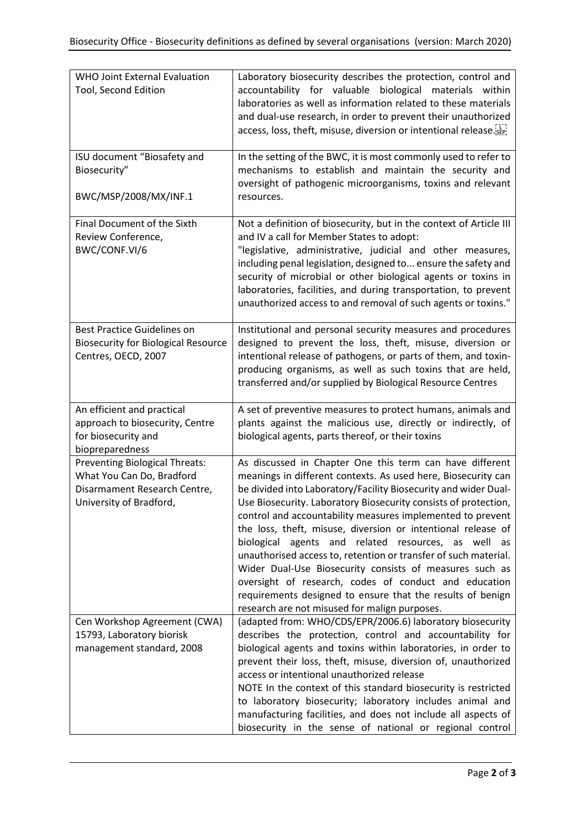| <b>WHO Joint External Evaluation</b><br>Tool, Second Edition                                                                  | Laboratory biosecurity describes the protection, control and<br>accountability for valuable biological materials within<br>laboratories as well as information related to these materials<br>and dual-use research, in order to prevent their unauthorized<br>access, loss, theft, misuse, diversion or intentional release.                                                                                                                                                                                                                                                                                                                                                                                                                               |
|-------------------------------------------------------------------------------------------------------------------------------|------------------------------------------------------------------------------------------------------------------------------------------------------------------------------------------------------------------------------------------------------------------------------------------------------------------------------------------------------------------------------------------------------------------------------------------------------------------------------------------------------------------------------------------------------------------------------------------------------------------------------------------------------------------------------------------------------------------------------------------------------------|
| ISU document "Biosafety and<br>Biosecurity"<br>BWC/MSP/2008/MX/INF.1                                                          | In the setting of the BWC, it is most commonly used to refer to<br>mechanisms to establish and maintain the security and<br>oversight of pathogenic microorganisms, toxins and relevant<br>resources.                                                                                                                                                                                                                                                                                                                                                                                                                                                                                                                                                      |
| Final Document of the Sixth<br>Review Conference,<br>BWC/CONF.VI/6                                                            | Not a definition of biosecurity, but in the context of Article III<br>and IV a call for Member States to adopt:<br>"legislative, administrative, judicial and other measures,<br>including penal legislation, designed to ensure the safety and<br>security of microbial or other biological agents or toxins in<br>laboratories, facilities, and during transportation, to prevent<br>unauthorized access to and removal of such agents or toxins."                                                                                                                                                                                                                                                                                                       |
| <b>Best Practice Guidelines on</b><br><b>Biosecurity for Biological Resource</b><br>Centres, OECD, 2007                       | Institutional and personal security measures and procedures<br>designed to prevent the loss, theft, misuse, diversion or<br>intentional release of pathogens, or parts of them, and toxin-<br>producing organisms, as well as such toxins that are held,<br>transferred and/or supplied by Biological Resource Centres                                                                                                                                                                                                                                                                                                                                                                                                                                     |
| An efficient and practical<br>approach to biosecurity, Centre<br>for biosecurity and<br>biopreparedness                       | A set of preventive measures to protect humans, animals and<br>plants against the malicious use, directly or indirectly, of<br>biological agents, parts thereof, or their toxins                                                                                                                                                                                                                                                                                                                                                                                                                                                                                                                                                                           |
| <b>Preventing Biological Threats:</b><br>What You Can Do, Bradford<br>Disarmament Research Centre,<br>University of Bradford, | As discussed in Chapter One this term can have different<br>meanings in different contexts. As used here, Biosecurity can<br>be divided into Laboratory/Facility Biosecurity and wider Dual-<br>Use Biosecurity. Laboratory Biosecurity consists of protection,<br>control and accountability measures implemented to prevent<br>the loss, theft, misuse, diversion or intentional release of<br>biological agents and related resources, as well as<br>unauthorised access to, retention or transfer of such material.<br>Wider Dual-Use Biosecurity consists of measures such as<br>oversight of research, codes of conduct and education<br>requirements designed to ensure that the results of benign<br>research are not misused for malign purposes. |
| Cen Workshop Agreement (CWA)<br>15793, Laboratory biorisk<br>management standard, 2008                                        | (adapted from: WHO/CDS/EPR/2006.6) laboratory biosecurity<br>describes the protection, control and accountability for<br>biological agents and toxins within laboratories, in order to<br>prevent their loss, theft, misuse, diversion of, unauthorized<br>access or intentional unauthorized release<br>NOTE In the context of this standard biosecurity is restricted<br>to laboratory biosecurity; laboratory includes animal and<br>manufacturing facilities, and does not include all aspects of<br>biosecurity in the sense of national or regional control                                                                                                                                                                                          |